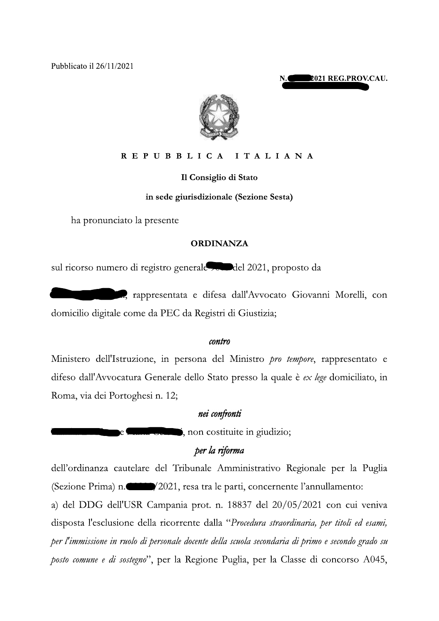Pubblicato il 26/11/2021





#### REPUBBLICA ITALIANA

Il Consiglio di Stato

## in sede giurisdizionale (Sezione Sesta)

ha pronunciato la presente

## **ORDINANZA**

sul ricorso numero di registro generale condel 2021, proposto da

a, rappresentata e difesa dall'Avvocato Giovanni Morelli, con domicilio digitale come da PEC da Registri di Giustizia;

#### contro

Ministero dell'Istruzione, in persona del Ministro *pro tempore*, rappresentato e difeso dall'Avvocatura Generale dello Stato presso la quale è ex lege domiciliato, in Roma, via dei Portoghesi n. 12;

# nei confronti

to the same is non costituite in giudizio;

# per la riforma

dell'ordinanza cautelare del Tribunale Amministrativo Regionale per la Puglia (Sezione Prima) n. (2021, resa tra le parti, concernente l'annullamento:

a) del DDG dell'USR Campania prot. n. 18837 del 20/05/2021 con cui veniva disposta l'esclusione della ricorrente dalla "Procedura straordinaria, per titoli ed esami, per l'immissione in ruolo di personale docente della scuola secondaria di primo e secondo grado su posto comune e di sostegno", per la Regione Puglia, per la Classe di concorso A045,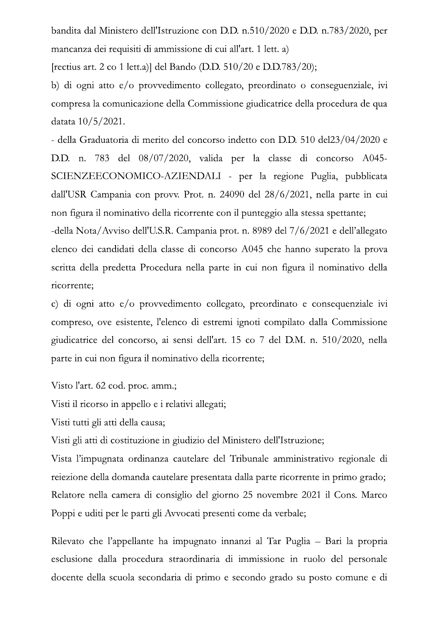bandita dal Ministero dell'Istruzione con D.D. n.510/2020 e D.D. n.783/2020, per mancanza dei requisiti di ammissione di cui all'art. 1 lett. a)

[rectius art. 2 co 1 lett.a)] del Bando (D.D. 510/20 e D.D.783/20);

b) di ogni atto e/o provvedimento collegato, preordinato o conseguenziale, ivi compresa la comunicazione della Commissione giudicatrice della procedura de qua datata 10/5/2021.

- della Graduatoria di merito del concorso indetto con D.D. 510 del23/04/2020 e D.D. n. 783 del 08/07/2020, valida per la classe di concorso A045-SCIENZEECONOMICO-AZIENDALI - per la regione Puglia, pubblicata dall'USR Campania con provv. Prot. n. 24090 del 28/6/2021, nella parte in cui non figura il nominativo della ricorrente con il punteggio alla stessa spettante;

-della Nota/Avviso dell'U.S.R. Campania prot. n. 8989 del 7/6/2021 e dell'allegato elenco dei candidati della classe di concorso A045 che hanno superato la prova scritta della predetta Procedura nella parte in cui non figura il nominativo della ricorrente;

c) di ogni atto e/o provvedimento collegato, preordinato e consequenziale ivi compreso, ove esistente, l'elenco di estremi ignoti compilato dalla Commissione giudicatrice del concorso, ai sensi dell'art. 15 co 7 del D.M. n. 510/2020, nella parte in cui non figura il nominativo della ricorrente;

Visto l'art. 62 cod. proc. amm.;

Visti il ricorso in appello e i relativi allegati;

Visti tutti gli atti della causa;

Visti gli atti di costituzione in giudizio del Ministero dell'Istruzione;

Vista l'impugnata ordinanza cautelare del Tribunale amministrativo regionale di rejezione della domanda cautelare presentata dalla parte ricorrente in primo grado; Relatore nella camera di consiglio del giorno 25 novembre 2021 il Cons. Marco Poppi e uditi per le parti gli Avvocati presenti come da verbale;

Rilevato che l'appellante ha impugnato innanzi al Tar Puglia – Bari la propria esclusione dalla procedura straordinaria di immissione in ruolo del personale docente della scuola secondaria di primo e secondo grado su posto comune e di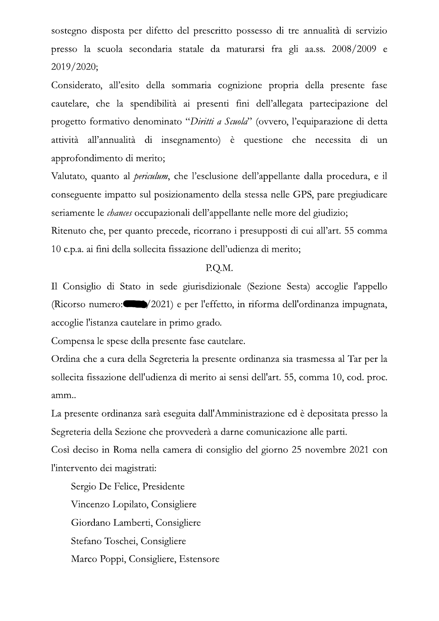sostegno disposta per difetto del prescritto possesso di tre annualità di servizio presso la scuola secondaria statale da maturarsi fra gli aa.ss. 2008/2009 e  $2019/2020;$ 

Considerato, all'esito della sommaria cognizione propria della presente fase cautelare, che la spendibilità ai presenti fini dell'allegata partecipazione del progetto formativo denominato "Diritti a Scuola" (ovvero, l'equiparazione di detta attività all'annualità di insegnamento) è questione che necessita di un approfondimento di merito;

Valutato, quanto al *periculum*, che l'esclusione dell'appellante dalla procedura, e il conseguente impatto sul posizionamento della stessa nelle GPS, pare pregiudicare seriamente le *chances* occupazionali dell'appellante nelle more del giudizio;

Ritenuto che, per quanto precede, ricorrano i presupposti di cui all'art. 55 comma 10 c.p.a. ai fini della sollecita fissazione dell'udienza di merito;

#### P.Q.M.

Il Consiglio di Stato in sede giurisdizionale (Sezione Sesta) accoglie l'appello (Ricorso numero:  $\Box$ /2021) e per l'effetto, in riforma dell'ordinanza impugnata, accoglie l'istanza cautelare in primo grado.

Compensa le spese della presente fase cautelare.

Ordina che a cura della Segreteria la presente ordinanza sia trasmessa al Tar per la sollecita fissazione dell'udienza di merito ai sensi dell'art. 55, comma 10, cod. proc. amm..

La presente ordinanza sarà eseguita dall'Amministrazione ed è depositata presso la Segreteria della Sezione che provvederà a darne comunicazione alle parti.

Così deciso in Roma nella camera di consiglio del giorno 25 novembre 2021 con l'intervento dei magistrati:

Sergio De Felice, Presidente Vincenzo Lopilato, Consigliere Giordano Lamberti, Consigliere Stefano Toschei, Consigliere Marco Poppi, Consigliere, Estensore